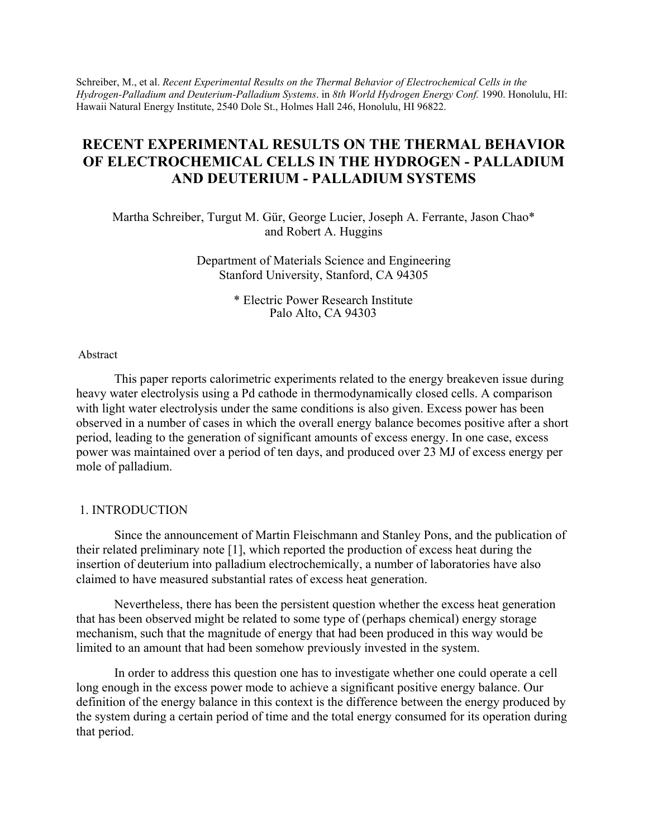Schreiber, M., et al. *Recent Experimental Results on the Thermal Behavior of Electrochemical Cells in the Hydrogen-Palladium and Deuterium-Palladium Systems*. in *8th World Hydrogen Energy Conf.* 1990. Honolulu, HI: Hawaii Natural Energy Institute, 2540 Dole St., Holmes Hall 246, Honolulu, HI 96822.

# **RECENT EXPERIMENTAL RESULTS ON THE THERMAL BEHAVIOR OF ELECTROCHEMICAL CELLS IN THE HYDROGEN - PALLADIUM AND DEUTERIUM - PALLADIUM SYSTEMS**

Martha Schreiber, Turgut M. Gür, George Lucier, Joseph A. Ferrante, Jason Chao\* and Robert A. Huggins

> Department of Materials Science and Engineering Stanford University, Stanford, CA 94305

> > \* Electric Power Research Institute Palo Alto, CA 94303

#### Abstract

This paper reports calorimetric experiments related to the energy breakeven issue during heavy water electrolysis using a Pd cathode in thermodynamically closed cells. A comparison with light water electrolysis under the same conditions is also given. Excess power has been observed in a number of cases in which the overall energy balance becomes positive after a short period, leading to the generation of significant amounts of excess energy. In one case, excess power was maintained over a period of ten days, and produced over 23 MJ of excess energy per mole of palladium.

### 1. INTRODUCTION

Since the announcement of Martin Fleischmann and Stanley Pons, and the publication of their related preliminary note [1], which reported the production of excess heat during the insertion of deuterium into palladium electrochemically, a number of laboratories have also claimed to have measured substantial rates of excess heat generation.

Nevertheless, there has been the persistent question whether the excess heat generation that has been observed might be related to some type of (perhaps chemical) energy storage mechanism, such that the magnitude of energy that had been produced in this way would be limited to an amount that had been somehow previously invested in the system.

In order to address this question one has to investigate whether one could operate a cell long enough in the excess power mode to achieve a significant positive energy balance. Our definition of the energy balance in this context is the difference between the energy produced by the system during a certain period of time and the total energy consumed for its operation during that period.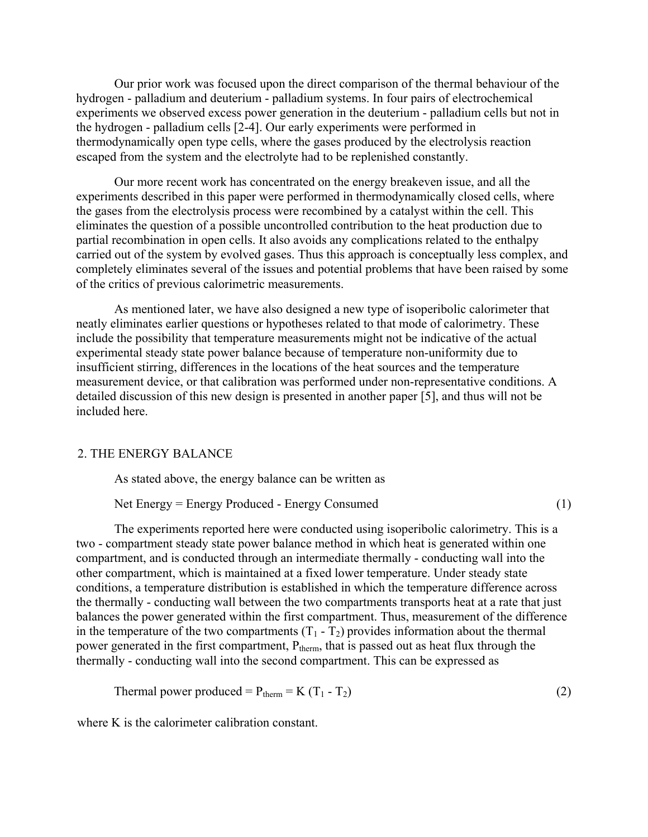Our prior work was focused upon the direct comparison of the thermal behaviour of the hydrogen - palladium and deuterium - palladium systems. In four pairs of electrochemical experiments we observed excess power generation in the deuterium - palladium cells but not in the hydrogen - palladium cells [2-4]. Our early experiments were performed in thermodynamically open type cells, where the gases produced by the electrolysis reaction escaped from the system and the electrolyte had to be replenished constantly.

Our more recent work has concentrated on the energy breakeven issue, and all the experiments described in this paper were performed in thermodynamically closed cells, where the gases from the electrolysis process were recombined by a catalyst within the cell. This eliminates the question of a possible uncontrolled contribution to the heat production due to partial recombination in open cells. It also avoids any complications related to the enthalpy carried out of the system by evolved gases. Thus this approach is conceptually less complex, and completely eliminates several of the issues and potential problems that have been raised by some of the critics of previous calorimetric measurements.

As mentioned later, we have also designed a new type of isoperibolic calorimeter that neatly eliminates earlier questions or hypotheses related to that mode of calorimetry. These include the possibility that temperature measurements might not be indicative of the actual experimental steady state power balance because of temperature non-uniformity due to insufficient stirring, differences in the locations of the heat sources and the temperature measurement device, or that calibration was performed under non-representative conditions. A detailed discussion of this new design is presented in another paper [5], and thus will not be included here.

# 2. THE ENERGY BALANCE

As stated above, the energy balance can be written as

Net Energy = Energy Produced - Energy Consumed (1)

The experiments reported here were conducted using isoperibolic calorimetry. This is a two - compartment steady state power balance method in which heat is generated within one compartment, and is conducted through an intermediate thermally - conducting wall into the other compartment, which is maintained at a fixed lower temperature. Under steady state conditions, a temperature distribution is established in which the temperature difference across the thermally - conducting wall between the two compartments transports heat at a rate that just balances the power generated within the first compartment. Thus, measurement of the difference in the temperature of the two compartments  $(T_1 - T_2)$  provides information about the thermal power generated in the first compartment,  $P_{therm}$ , that is passed out as heat flux through the thermally - conducting wall into the second compartment. This can be expressed as

Thermal power produced =  $P_{therm} = K (T_1 - T_2)$  (2)

where K is the calorimeter calibration constant.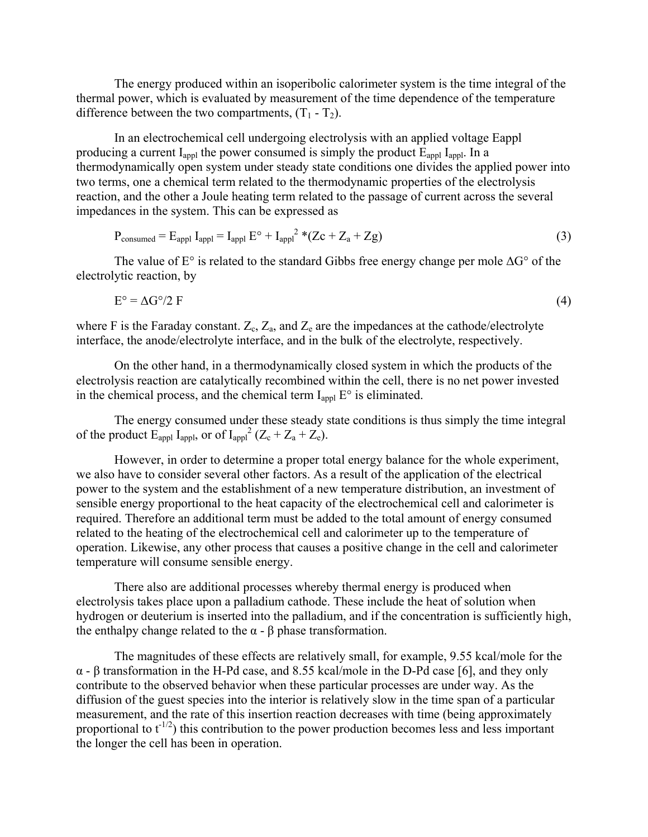The energy produced within an isoperibolic calorimeter system is the time integral of the thermal power, which is evaluated by measurement of the time dependence of the temperature difference between the two compartments,  $(T_1 - T_2)$ .

In an electrochemical cell undergoing electrolysis with an applied voltage Eappl producing a current  $I_{appl}$  the power consumed is simply the product  $E_{appl} I_{appl}$ . In a thermodynamically open system under steady state conditions one divides the applied power into two terms, one a chemical term related to the thermodynamic properties of the electrolysis reaction, and the other a Joule heating term related to the passage of current across the several impedances in the system. This can be expressed as

$$
P_{\text{consumed}} = E_{\text{appl}} I_{\text{appl}} = I_{\text{appl}} E^{\circ} + I_{\text{appl}}^2 * (Zc + Z_a + Zg) \tag{3}
$$

The value of E° is related to the standard Gibbs free energy change per mole ∆G° of the electrolytic reaction, by

$$
E^{\circ} = \Delta G^{\circ}/2 F \tag{4}
$$

where F is the Faraday constant.  $Z_c$ ,  $Z_a$ , and  $Z_e$  are the impedances at the cathode/electrolyte interface, the anode/electrolyte interface, and in the bulk of the electrolyte, respectively.

On the other hand, in a thermodynamically closed system in which the products of the electrolysis reaction are catalytically recombined within the cell, there is no net power invested in the chemical process, and the chemical term  $I_{\text{appl}} E^{\circ}$  is eliminated.

The energy consumed under these steady state conditions is thus simply the time integral of the product  $E_{\text{appl}}$  I<sub>appl</sub>, or of I<sub>appl</sub><sup>2</sup> (Z<sub>c</sub> + Z<sub>a</sub> + Z<sub>e</sub>).

However, in order to determine a proper total energy balance for the whole experiment, we also have to consider several other factors. As a result of the application of the electrical power to the system and the establishment of a new temperature distribution, an investment of sensible energy proportional to the heat capacity of the electrochemical cell and calorimeter is required. Therefore an additional term must be added to the total amount of energy consumed related to the heating of the electrochemical cell and calorimeter up to the temperature of operation. Likewise, any other process that causes a positive change in the cell and calorimeter temperature will consume sensible energy.

There also are additional processes whereby thermal energy is produced when electrolysis takes place upon a palladium cathode. These include the heat of solution when hydrogen or deuterium is inserted into the palladium, and if the concentration is sufficiently high, the enthalpy change related to the  $α - β$  phase transformation.

The magnitudes of these effects are relatively small, for example, 9.55 kcal/mole for the α - β transformation in the H-Pd case, and 8.55 kcal/mole in the D-Pd case [6], and they only contribute to the observed behavior when these particular processes are under way. As the diffusion of the guest species into the interior is relatively slow in the time span of a particular measurement, and the rate of this insertion reaction decreases with time (being approximately proportional to  $t^{-1/2}$ ) this contribution to the power production becomes less and less important the longer the cell has been in operation.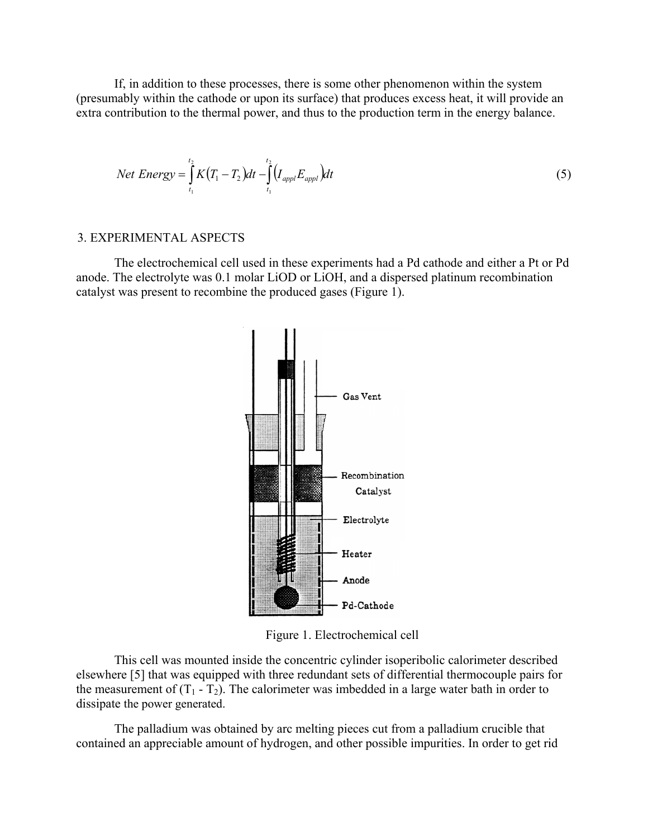If, in addition to these processes, there is some other phenomenon within the system (presumably within the cathode or upon its surface) that produces excess heat, it will provide an extra contribution to the thermal power, and thus to the production term in the energy balance.

Net Energy = 
$$
\int_{t_1}^{t_2} K(T_1 - T_2) dt - \int_{t_1}^{t_2} (I_{app1} E_{app1}) dt
$$
 (5)

### 3. EXPERIMENTAL ASPECTS

The electrochemical cell used in these experiments had a Pd cathode and either a Pt or Pd anode. The electrolyte was 0.1 molar LiOD or LiOH, and a dispersed platinum recombination catalyst was present to recombine the produced gases (Figure 1).



Figure 1. Electrochemical cell

This cell was mounted inside the concentric cylinder isoperibolic calorimeter described elsewhere [5] that was equipped with three redundant sets of differential thermocouple pairs for the measurement of  $(T_1 - T_2)$ . The calorimeter was imbedded in a large water bath in order to dissipate the power generated.

The palladium was obtained by arc melting pieces cut from a palladium crucible that contained an appreciable amount of hydrogen, and other possible impurities. In order to get rid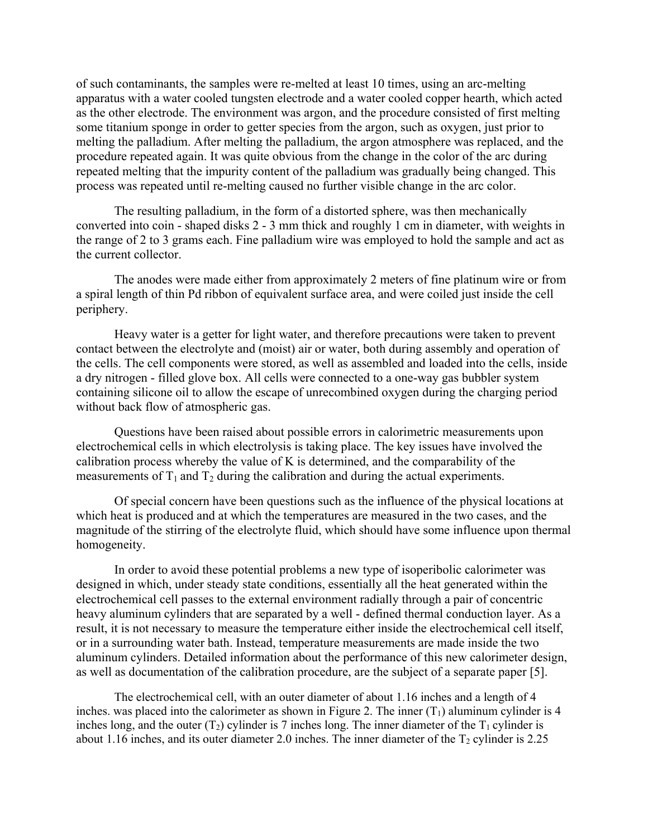of such contaminants, the samples were re-melted at least 10 times, using an arc-melting apparatus with a water cooled tungsten electrode and a water cooled copper hearth, which acted as the other electrode. The environment was argon, and the procedure consisted of first melting some titanium sponge in order to getter species from the argon, such as oxygen, just prior to melting the palladium. After melting the palladium, the argon atmosphere was replaced, and the procedure repeated again. It was quite obvious from the change in the color of the arc during repeated melting that the impurity content of the palladium was gradually being changed. This process was repeated until re-melting caused no further visible change in the arc color.

The resulting palladium, in the form of a distorted sphere, was then mechanically converted into coin - shaped disks 2 - 3 mm thick and roughly 1 cm in diameter, with weights in the range of 2 to 3 grams each. Fine palladium wire was employed to hold the sample and act as the current collector.

The anodes were made either from approximately 2 meters of fine platinum wire or from a spiral length of thin Pd ribbon of equivalent surface area, and were coiled just inside the cell periphery.

Heavy water is a getter for light water, and therefore precautions were taken to prevent contact between the electrolyte and (moist) air or water, both during assembly and operation of the cells. The cell components were stored, as well as assembled and loaded into the cells, inside a dry nitrogen - filled glove box. All cells were connected to a one-way gas bubbler system containing silicone oil to allow the escape of unrecombined oxygen during the charging period without back flow of atmospheric gas.

Questions have been raised about possible errors in calorimetric measurements upon electrochemical cells in which electrolysis is taking place. The key issues have involved the calibration process whereby the value of K is determined, and the comparability of the measurements of  $T_1$  and  $T_2$  during the calibration and during the actual experiments.

Of special concern have been questions such as the influence of the physical locations at which heat is produced and at which the temperatures are measured in the two cases, and the magnitude of the stirring of the electrolyte fluid, which should have some influence upon thermal homogeneity.

In order to avoid these potential problems a new type of isoperibolic calorimeter was designed in which, under steady state conditions, essentially all the heat generated within the electrochemical cell passes to the external environment radially through a pair of concentric heavy aluminum cylinders that are separated by a well - defined thermal conduction layer. As a result, it is not necessary to measure the temperature either inside the electrochemical cell itself, or in a surrounding water bath. Instead, temperature measurements are made inside the two aluminum cylinders. Detailed information about the performance of this new calorimeter design, as well as documentation of the calibration procedure, are the subject of a separate paper [5].

The electrochemical cell, with an outer diameter of about 1.16 inches and a length of 4 inches. was placed into the calorimeter as shown in Figure 2. The inner  $(T_1)$  aluminum cylinder is 4 inches long, and the outer  $(T_2)$  cylinder is 7 inches long. The inner diameter of the  $T_1$  cylinder is about 1.16 inches, and its outer diameter 2.0 inches. The inner diameter of the  $T_2$  cylinder is 2.25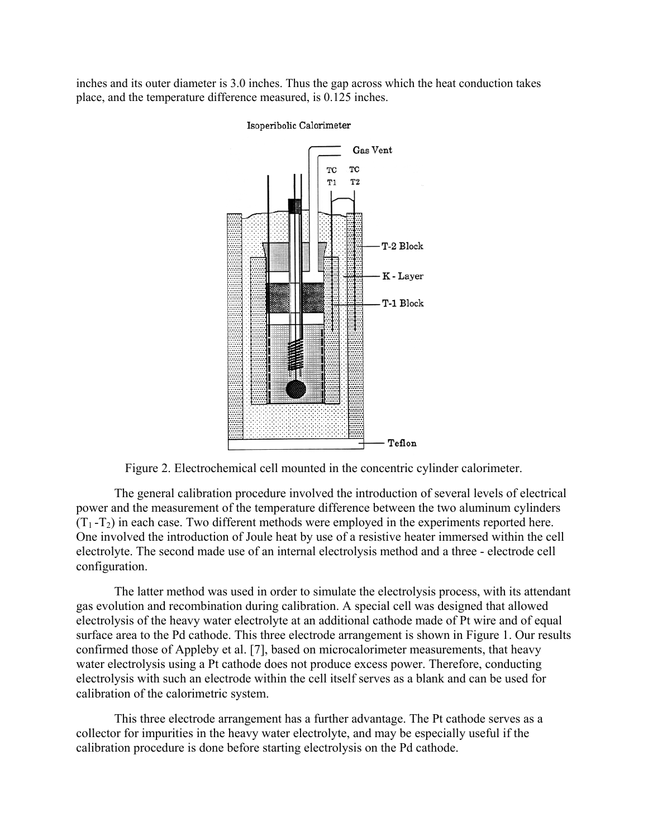inches and its outer diameter is 3.0 inches. Thus the gap across which the heat conduction takes place, and the temperature difference measured, is 0.125 inches.



#### Isoperibolic Calorimeter

Figure 2. Electrochemical cell mounted in the concentric cylinder calorimeter.

The general calibration procedure involved the introduction of several levels of electrical power and the measurement of the temperature difference between the two aluminum cylinders  $(T_1 - T_2)$  in each case. Two different methods were employed in the experiments reported here. One involved the introduction of Joule heat by use of a resistive heater immersed within the cell electrolyte. The second made use of an internal electrolysis method and a three - electrode cell configuration.

The latter method was used in order to simulate the electrolysis process, with its attendant gas evolution and recombination during calibration. A special cell was designed that allowed electrolysis of the heavy water electrolyte at an additional cathode made of Pt wire and of equal surface area to the Pd cathode. This three electrode arrangement is shown in Figure 1. Our results confirmed those of Appleby et al. [7], based on microcalorimeter measurements, that heavy water electrolysis using a Pt cathode does not produce excess power. Therefore, conducting electrolysis with such an electrode within the cell itself serves as a blank and can be used for calibration of the calorimetric system.

This three electrode arrangement has a further advantage. The Pt cathode serves as a collector for impurities in the heavy water electrolyte, and may be especially useful if the calibration procedure is done before starting electrolysis on the Pd cathode.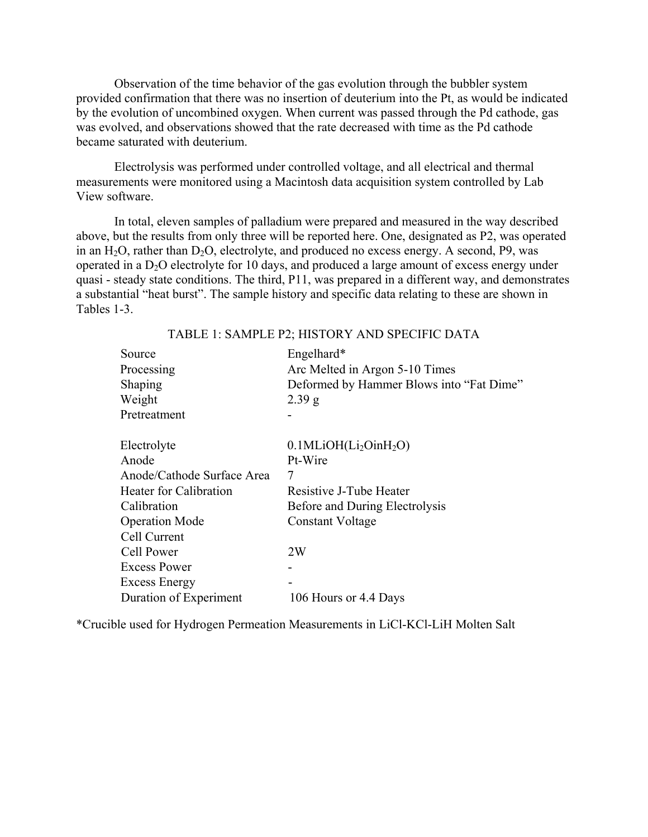Observation of the time behavior of the gas evolution through the bubbler system provided confirmation that there was no insertion of deuterium into the Pt, as would be indicated by the evolution of uncombined oxygen. When current was passed through the Pd cathode, gas was evolved, and observations showed that the rate decreased with time as the Pd cathode became saturated with deuterium.

Electrolysis was performed under controlled voltage, and all electrical and thermal measurements were monitored using a Macintosh data acquisition system controlled by Lab View software.

In total, eleven samples of palladium were prepared and measured in the way described above, but the results from only three will be reported here. One, designated as P2, was operated in an  $H_2O$ , rather than  $D_2O$ , electrolyte, and produced no excess energy. A second, P9, was operated in a  $D_2O$  electrolyte for 10 days, and produced a large amount of excess energy under quasi - steady state conditions. The third, P11, was prepared in a different way, and demonstrates a substantial "heat burst". The sample history and specific data relating to these are shown in Tables 1-3.

| Source<br>Processing          | Engelhard*<br>Arc Melted in Argon 5-10 Times<br>Deformed by Hammer Blows into "Fat Dime" |
|-------------------------------|------------------------------------------------------------------------------------------|
| Shaping<br>Weight             | 2.39 g                                                                                   |
| Pretreatment                  |                                                                                          |
| Electrolyte                   | $0.1$ MLiOH(Li <sub>2</sub> OinH <sub>2</sub> O)                                         |
| Anode                         | Pt-Wire                                                                                  |
| Anode/Cathode Surface Area    | 7                                                                                        |
| <b>Heater for Calibration</b> | Resistive J-Tube Heater                                                                  |
| Calibration                   | Before and During Electrolysis                                                           |
| <b>Operation Mode</b>         | Constant Voltage                                                                         |
| Cell Current                  |                                                                                          |
| Cell Power                    | 2W                                                                                       |
| Excess Power                  |                                                                                          |
| <b>Excess Energy</b>          |                                                                                          |
| Duration of Experiment        | 106 Hours or 4.4 Days                                                                    |

#### TABLE 1: SAMPLE P2; HISTORY AND SPECIFIC DATA

\*Crucible used for Hydrogen Permeation Measurements in LiCl-KCl-LiH Molten Salt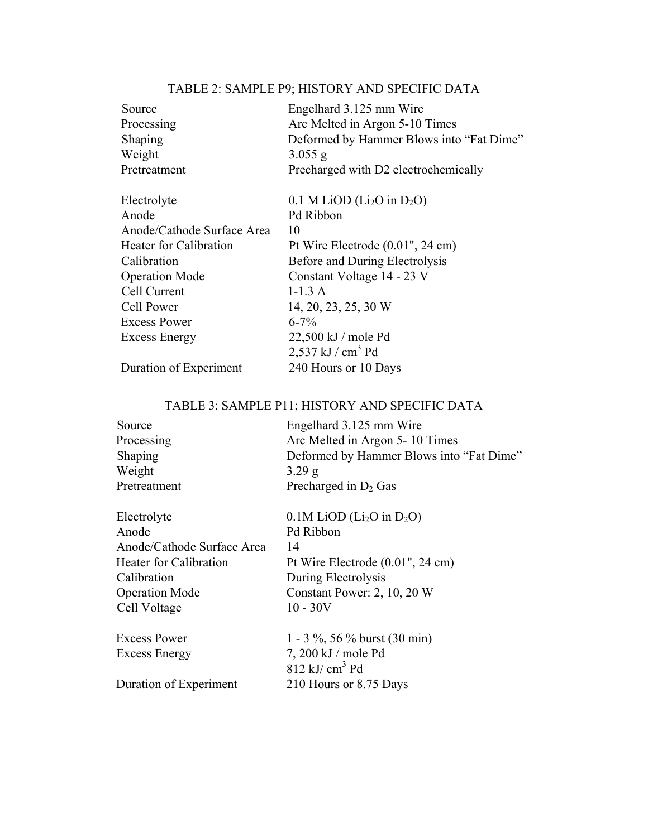# TABLE 2: SAMPLE P9; HISTORY AND SPECIFIC DATA

| Source                        | Engelhard 3.125 mm Wire                              |
|-------------------------------|------------------------------------------------------|
| Processing                    | Arc Melted in Argon 5-10 Times                       |
| Shaping                       | Deformed by Hammer Blows into "Fat Dime"             |
| Weight                        | $3.055$ g                                            |
| Pretreatment                  | Precharged with D2 electrochemically                 |
| Electrolyte                   | $0.1$ M LiOD (Li <sub>2</sub> O in D <sub>2</sub> O) |
| Anode                         | Pd Ribbon                                            |
| Anode/Cathode Surface Area    | 10                                                   |
| <b>Heater for Calibration</b> | Pt Wire Electrode $(0.01$ ", 24 cm)                  |
| Calibration                   | Before and During Electrolysis                       |
| <b>Operation Mode</b>         | Constant Voltage 14 - 23 V                           |
| Cell Current                  | $1-1.3A$                                             |
| Cell Power                    | 14, 20, 23, 25, 30 W                                 |
| <b>Excess Power</b>           | $6 - 7\%$                                            |
| <b>Excess Energy</b>          | 22,500 kJ / mole Pd                                  |
|                               | $2,537$ kJ / cm <sup>3</sup> Pd                      |
| Duration of Experiment        | 240 Hours or 10 Days                                 |

# TABLE 3: SAMPLE P11; HISTORY AND SPECIFIC DATA

| Source                        | Engelhard 3.125 mm Wire                             |
|-------------------------------|-----------------------------------------------------|
| Processing                    | Arc Melted in Argon 5-10 Times                      |
| Shaping                       | Deformed by Hammer Blows into "Fat Dime"            |
| Weight                        | 3.29 g                                              |
| Pretreatment                  | Precharged in $D_2$ Gas                             |
| Electrolyte                   | $0.1M$ LiOD (Li <sub>2</sub> O in D <sub>2</sub> O) |
| Anode                         | Pd Ribbon                                           |
| Anode/Cathode Surface Area    | 14                                                  |
| <b>Heater for Calibration</b> | Pt Wire Electrode $(0.01$ ", 24 cm)                 |
| Calibration                   | During Electrolysis                                 |
| <b>Operation Mode</b>         | Constant Power: 2, 10, 20 W                         |
| Cell Voltage                  | $10 - 30V$                                          |
| <b>Excess Power</b>           | 1 - 3 %, 56 % burst (30 min)                        |
| <b>Excess Energy</b>          | 7, 200 kJ / mole Pd                                 |
|                               | $812 \text{ kJ/cm}^3$ Pd                            |
| Duration of Experiment        | 210 Hours or 8.75 Days                              |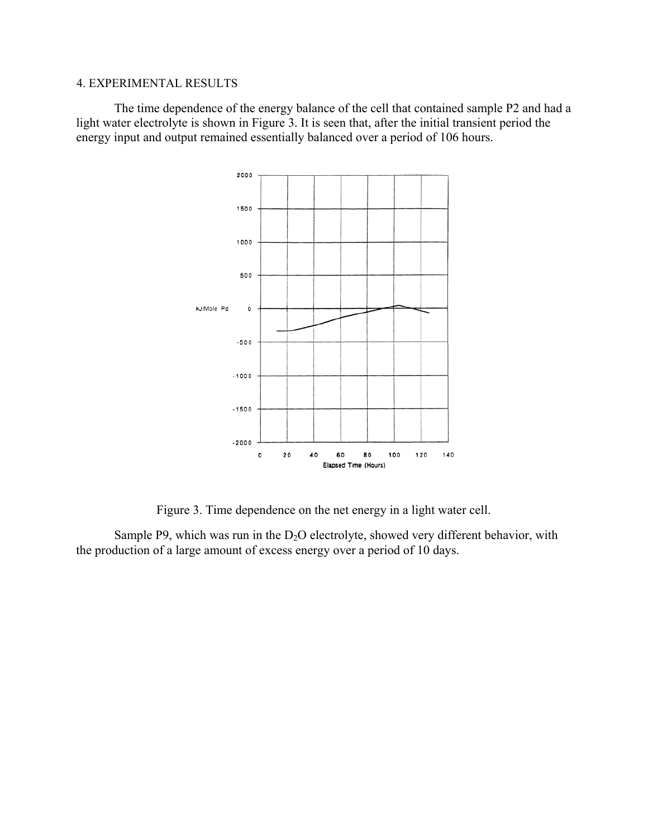## 4. EXPERIMENTAL RESULTS

The time dependence of the energy balance of the cell that contained sample P2 and had a light water electrolyte is shown in Figure 3. It is seen that, after the initial transient period the energy input and output remained essentially balanced over a period of 106 hours.



Figure 3. Time dependence on the net energy in a light water cell.

Sample P9, which was run in the  $D_2O$  electrolyte, showed very different behavior, with the production of a large amount of excess energy over a period of 10 days.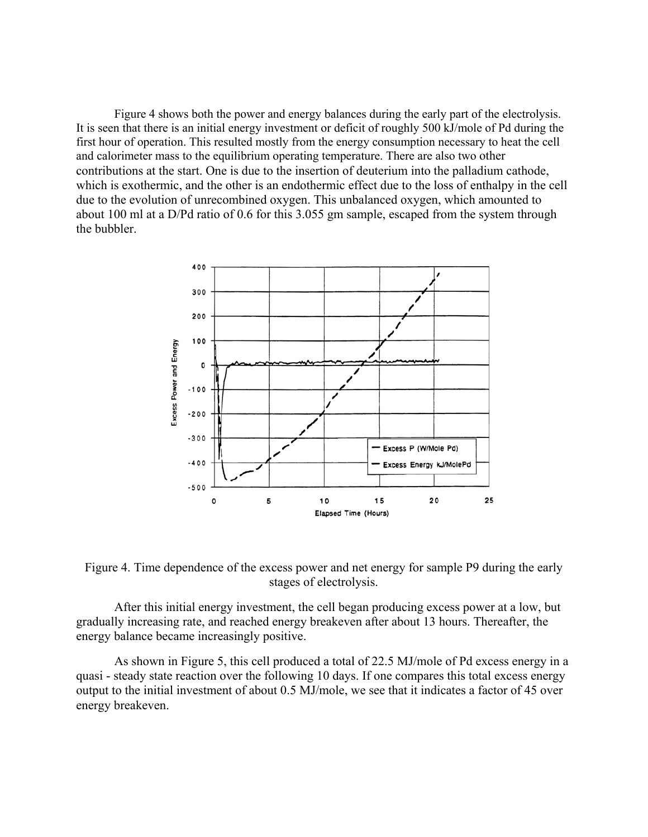Figure 4 shows both the power and energy balances during the early part of the electrolysis. It is seen that there is an initial energy investment or deficit of roughly 500 kJ/mole of Pd during the first hour of operation. This resulted mostly from the energy consumption necessary to heat the cell and calorimeter mass to the equilibrium operating temperature. There are also two other contributions at the start. One is due to the insertion of deuterium into the palladium cathode, which is exothermic, and the other is an endothermic effect due to the loss of enthalpy in the cell due to the evolution of unrecombined oxygen. This unbalanced oxygen, which amounted to about 100 ml at a D/Pd ratio of 0.6 for this 3.055 gm sample, escaped from the system through the bubbler.



Figure 4. Time dependence of the excess power and net energy for sample P9 during the early stages of electrolysis.

After this initial energy investment, the cell began producing excess power at a low, but gradually increasing rate, and reached energy breakeven after about 13 hours. Thereafter, the energy balance became increasingly positive.

As shown in Figure 5, this cell produced a total of 22.5 MJ/mole of Pd excess energy in a quasi - steady state reaction over the following 10 days. If one compares this total excess energy output to the initial investment of about 0.5 MJ/mole, we see that it indicates a factor of 45 over energy breakeven.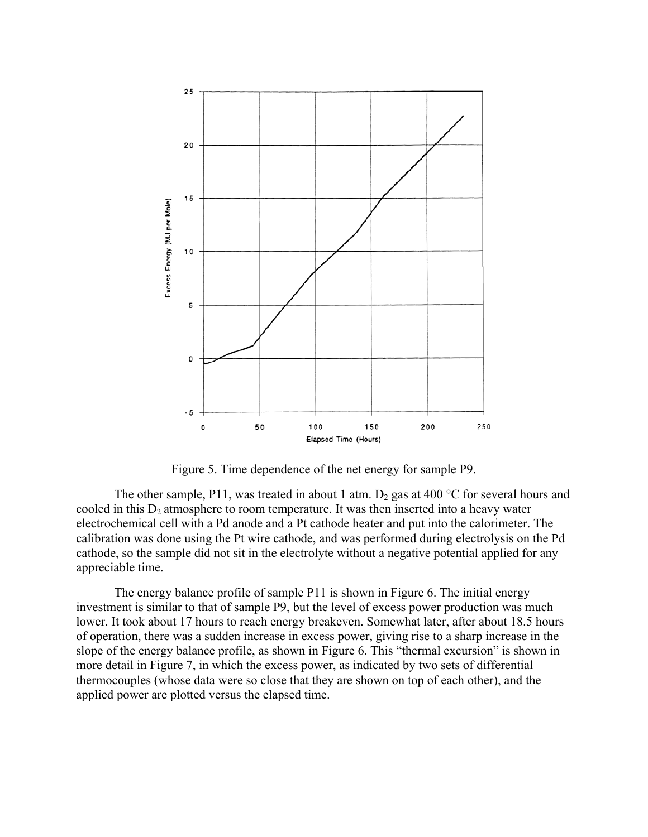

Figure 5. Time dependence of the net energy for sample P9.

The other sample, P11, was treated in about 1 atm.  $D_2$  gas at 400 °C for several hours and cooled in this  $D_2$  atmosphere to room temperature. It was then inserted into a heavy water electrochemical cell with a Pd anode and a Pt cathode heater and put into the calorimeter. The calibration was done using the Pt wire cathode, and was performed during electrolysis on the Pd cathode, so the sample did not sit in the electrolyte without a negative potential applied for any appreciable time.

The energy balance profile of sample P11 is shown in Figure 6. The initial energy investment is similar to that of sample P9, but the level of excess power production was much lower. It took about 17 hours to reach energy breakeven. Somewhat later, after about 18.5 hours of operation, there was a sudden increase in excess power, giving rise to a sharp increase in the slope of the energy balance profile, as shown in Figure 6. This "thermal excursion" is shown in more detail in Figure 7, in which the excess power, as indicated by two sets of differential thermocouples (whose data were so close that they are shown on top of each other), and the applied power are plotted versus the elapsed time.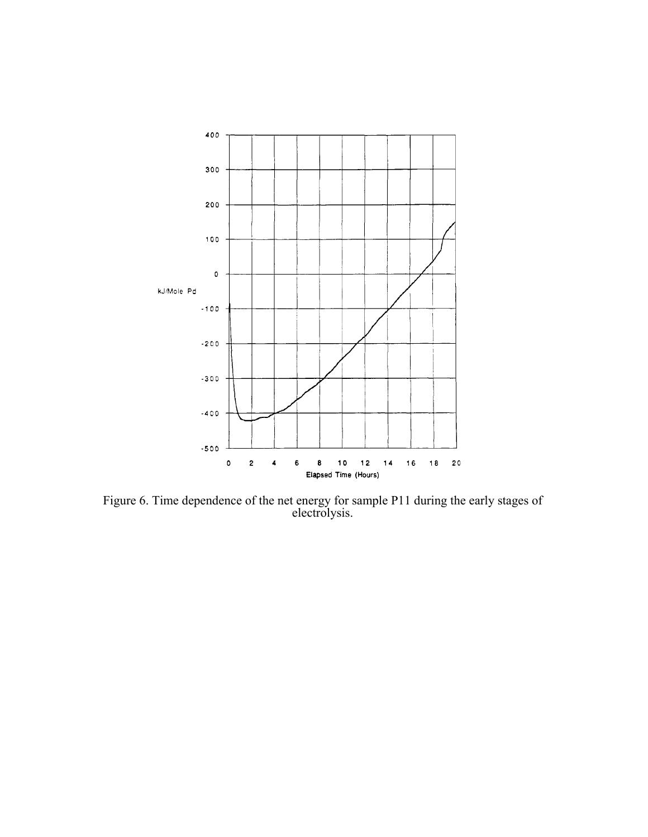

Figure 6. Time dependence of the net energy for sample P11 during the early stages of electrolysis.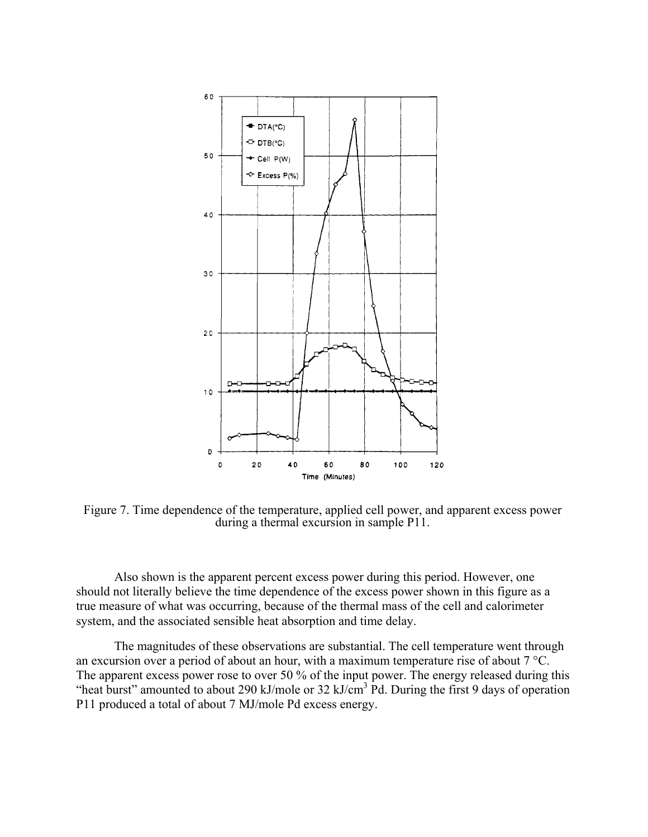

Figure 7. Time dependence of the temperature, applied cell power, and apparent excess power during a thermal excursion in sample P11.

Also shown is the apparent percent excess power during this period. However, one should not literally believe the time dependence of the excess power shown in this figure as a true measure of what was occurring, because of the thermal mass of the cell and calorimeter system, and the associated sensible heat absorption and time delay.

The magnitudes of these observations are substantial. The cell temperature went through an excursion over a period of about an hour, with a maximum temperature rise of about 7 °C. The apparent excess power rose to over 50 % of the input power. The energy released during this "heat burst" amounted to about 290 kJ/mole or 32 kJ/cm<sup>3</sup> Pd. During the first 9 days of operation P11 produced a total of about 7 MJ/mole Pd excess energy.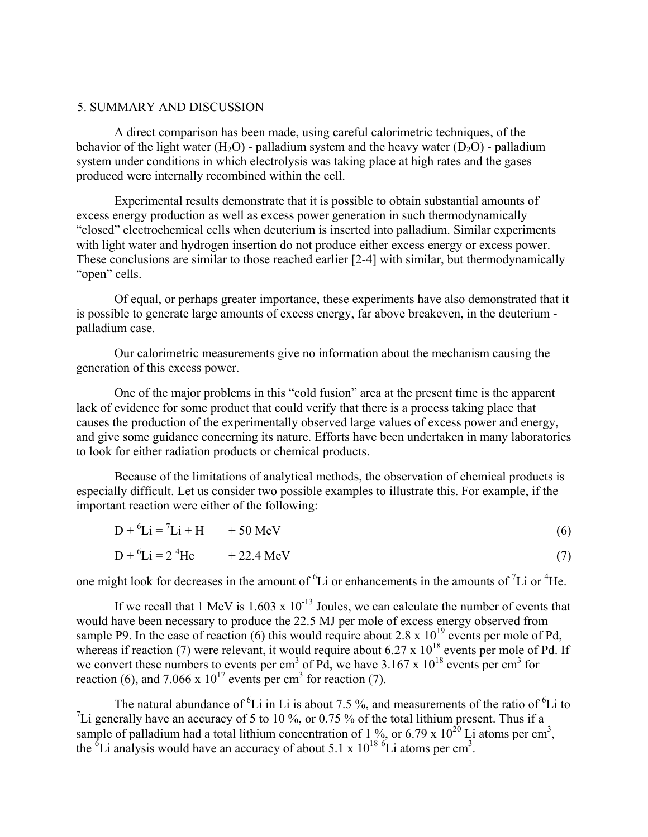### 5. SUMMARY AND DISCUSSION

A direct comparison has been made, using careful calorimetric techniques, of the behavior of the light water (H<sub>2</sub>O) - palladium system and the heavy water (D<sub>2</sub>O) - palladium system under conditions in which electrolysis was taking place at high rates and the gases produced were internally recombined within the cell.

Experimental results demonstrate that it is possible to obtain substantial amounts of excess energy production as well as excess power generation in such thermodynamically "closed" electrochemical cells when deuterium is inserted into palladium. Similar experiments with light water and hydrogen insertion do not produce either excess energy or excess power. These conclusions are similar to those reached earlier [2-4] with similar, but thermodynamically "open" cells.

Of equal, or perhaps greater importance, these experiments have also demonstrated that it is possible to generate large amounts of excess energy, far above breakeven, in the deuterium palladium case.

Our calorimetric measurements give no information about the mechanism causing the generation of this excess power.

One of the major problems in this "cold fusion" area at the present time is the apparent lack of evidence for some product that could verify that there is a process taking place that causes the production of the experimentally observed large values of excess power and energy, and give some guidance concerning its nature. Efforts have been undertaken in many laboratories to look for either radiation products or chemical products.

Because of the limitations of analytical methods, the observation of chemical products is especially difficult. Let us consider two possible examples to illustrate this. For example, if the important reaction were either of the following:

$$
D + {}^{6}Li = {}^{7}Li + H + 50 MeV
$$
\n
$$
D + {}^{6}Li = 2 {}^{4}He + 22.4 MeV
$$
\n(7)

one might look for decreases in the amount of  ${}^{6}Li$  or enhancements in the amounts of  ${}^{7}Li$  or  ${}^{4}He$ .

If we recall that 1 MeV is  $1.603 \times 10^{-13}$  Joules, we can calculate the number of events that would have been necessary to produce the 22.5 MJ per mole of excess energy observed from sample P9. In the case of reaction (6) this would require about 2.8 x  $10^{19}$  events per mole of Pd, whereas if reaction (7) were relevant, it would require about 6.27 x  $10^{18}$  events per mole of Pd. If we convert these numbers to events per cm<sup>3</sup> of Pd, we have  $3.167 \times 10^{18}$  events per cm<sup>3</sup> for reaction (6), and 7.066 x  $10^{17}$  events per cm<sup>3</sup> for reaction (7).

The natural abundance of <sup>6</sup>Li in Li is about 7.5 %, and measurements of the ratio of <sup>6</sup>Li to <sup>7</sup>Li generally have an accuracy of 5 to 10 %, or 0.75 % of the total lithium present. Thus if a sample of palladium had a total lithium concentration of 1 %, or 6.79 x  $10^{20}$  Li atoms per cm<sup>3</sup>, the  ${}^{6}$ Li analysis would have an accuracy of about 5.1 x 10<sup>18 6</sup>Li atoms per cm<sup>3</sup>.